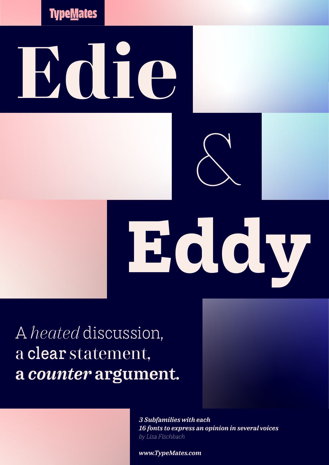**Type<u>M</u>ates** 

# **Edie**



&

A *heated* discussion, a clear statement, a *counter* argument.

> *3 Subfamilies with each 16 fonts to express an opinion in several voices by Lisa Fischbach*

*www.TypeMates.com*

w.TypeMates.com © Lisa Fischbach, TypeMates. 06.2022 1 / 15.2022 1 / 15.2022 1 / 15.2022 1 / 15.2022 1 / 15.20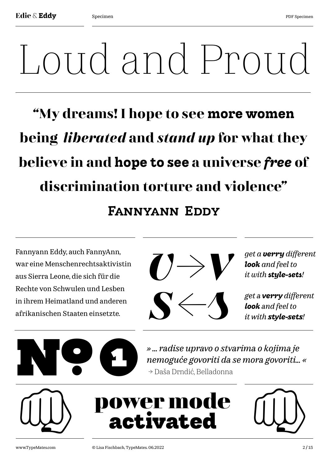# Loud and Proud

# **"My dreams! I hope to see more women being** *liberated* **and** *stand up* **for what they believe in and hope to see a universe** *free* **of discrimination torture and violence"** Fannyann Eddy

Fannyann Eddy, auch FannyAnn, war eine Menschenrechtsaktivistin aus Sierra Leone, die sich für die Rechte von Schwulen und Lesben in ihrem Heimatland und anderen afrikanischen Staaten einsetzte.





**power mode** 

**activated**

*get a verry different look and feel to it with style-sets!*

*get a verry different look and feel to it with style-sets!*

*» ... radise upravo o stvarima o kojima je* 

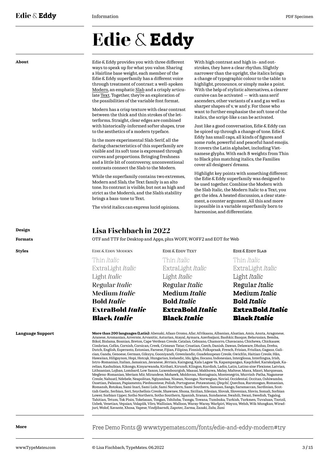# **Edie** & **Eddy**

**About** Edie & Eddy provides you with three different ways to speak up for what you value. Sharing a Hairline base weight, each member of the Edie & Eddy superfamily has a different voice through treatment of contrast: a well-spoken [Modern,](https://www.typemates.com/fonts/edie-and-eddy-modern) an emphatic [Slab](https://www.typemates.com/fonts/edie-and-eddy-slab) and a crisply articulate [Text](https://www.typemates.com/fonts/edie-and-eddy-text). Together, they're an exploration of the possibilities of the variable font format.

> Modern has a crisp texture with clear contrast between the thick and thin strokes of the letterforms. Straight, clear edges are combined with historically-informed softer shapes, true to the aesthetics of a modern typeface.

In the more experimental Slab Serif, all the daring characteristics of this superfamily are visible and its soft tone is expressed through curves and proportions. Bringing freshness and a little bit of controversy, unconventional contrasts connect the Slab to the Modern.

While the superfamily contains two extremes, Modern and Slab, the Text family is an alto tone. Its contrast is visible, but not as high and strict as the Modern's, and the Slab's stability brings a bass-tone to Text.

The vivid italics can express lucid opinions.

With high contrast and high in- and outstrokes, they have a clear rhythm. Slightly narrower than the upright, the italics brings a change of typographic colour to the table: to highlight, pronounce, or simply make a point. With the help of stylistic alternatives, a clearer cursive can be activated — with sans serif ascenders, other variants of a and g as well as sharper shapes of v, w and y. For those who want to further emphasise the soft tone of the italics, the script-like s can be activated.

Just like a good conversation, Edie & Eddy can be spiced up through a change of tone. Edie & Eddy has small caps, all kinds of figures and some rude, powerful and peaceful hand emojis. It covers the Latin alphabet, including Vietnamese glyphs. With each 8 weights from Thin to Black plus matching italics, the Families cover all designers' dreams.

Highlight key points with something different: the Edie & Eddy superfamily was designed to be used together. Combine the Modern with the Slab Italic, the Modern Italic to a Text, you get the idea. A heated discussion, a clear statement, a counter argument. All this and more is possible in a variable superfamily born to harmonise, and differentiate.

# **Design Lisa Fischbach in 2022**

**Formats** OTF and TTF for Desktop and Apps, plus WOFF, WOFF2 and EOT for Web

Thin *Italic* ExtraLight *Italic*

Light *Italic* Regular *Italic* Medium *Italic* **Bold** *Italic* **ExtraBold** *Italic* Black *Italic*

Thin *Italic* ExtraLight *Italic* Light *Italic* Regular *Italic* Medium *Italic* **Bold** *Italic* **ExtraBold** *Italic* Black *Italic* EDIE & EDDY MODERN **EDIE & EDDY TEXT** EDIE & EDDY SLAB

Thin *Italic* ExtraLight *Italic* Light *Italic* Regular *Italic* Medium *Italic* **Bold** *Italic* **ExtraBold** *Italic* Black *Italic*

**Language Support More than 200 languages (Latin):** Abenaki, Afaan Oromo, Afar, Afrikaans, Albanian, Alsatian, Amis, Anuta, Aragonese,

**Styles**

Aranese, Aromanian, Arrernte, Arvanitic, Asturian, Atayal, Aymara, Azerbaijani, Bashkir, Basque, Belarusian, Bemba, Bikol, Bislama, Bosnian, Breton, Cape Verdean Creole, Catalan, Cebuano, Chamorro, Chavacano, Chichewa, Chickasaw, Cimbrian, Cofán, Cornish, Corsican, Creek, Crimean Tatar, Croatian, Czech, Danish, Dawan, Delaware, Dholuo, Drehu, Dutch, English, Esperanto, Estonian, Faroese, Fijian, Filipino, Finnish, Folkspraak, French, Frisian, Friulian, Gagauz, Galician, Ganda, Genoese, German, Gikuyu, Gooniyandi, Greenlandic, Guadeloupean Creole, Gwich'in, Haitian Creole, Hän, Hawaiian, Hiligaynon, Hopi, Hotcąk, Hungarian, Icelandic, Ido, Igbo, Ilocano, Indonesian, Interglossa, Interlingua, Irish, Istro-Romanian, Italian, Jamaican, Javanese, Jèrriais, Kaingang, Kala Lagaw Ya, Kapampangan, Kaqchikel, Karakalpak, Ka-<br>relian, Kashubian, Kikongo, Kinyarwanda, Kiribati, Kirundi, Klingon, Kurdish, Ladin, Latin, Latino sin Megleno-Romanian, Meriam Mir, Mirandese, Mohawk, Moldovan, Montagnais, Montenegrin, Murrinh-Patha, Nagamese Creole, Nahuatl, Ndebele, Neapolitan, Ngiyambaa, Niuean, Noongar, Norwegian, Novial, Occidental, Occitan, Oshiwambo,<br>Ossetian, Palauan, Papiamento, Piedmontese, Polish, Portuguese, Potawatomi, Q'eqchi', Quechua, Rarotongan Romansh, Rotokas, Sami Inari, Sami Lule, Sami Northern, Sami Southern, Samoan, Sango, Saramaccan, Sardinian, Scottish Gaelic, Serbian, Seri, Seychellois Creole, Shawnee, Shona, Sicilian, Silesian, Slovak, Slovenian, Slovio, Somali, Sorbian Lower, Sorbian Upper, Sotho Northern, Sotho Southern, Spanish, Sranan, Sundanese, Swahili, Swazi, Swedish, Tagalog, Tahitian, Tetum, Tok Pisin, Tokelauan, Tongan, Tshiluba, Tsonga, Tswana, Tumbuka, Turkish, Turkmen, Tuvaluan, Tzotzil, Uzbek, Venetian, Vepsian, Volapük, Võro, Wallisian, Walloon, Waray-Waray, Warlpiri, Wayuu, Welsh, Wik-Mungkan, Wiradjuri, Wolof, Xavante, Xhosa, Yapese, Yindjibarndi, Zapotec, Zarma, Zazaki, Zulu, Zuni

**More**

[Free Demo Fonts @ www.typemates.com/fonts/edie-and-eddy-modern#try](https://www.typemates.com/fonts/edie-and-eddy-modern#try)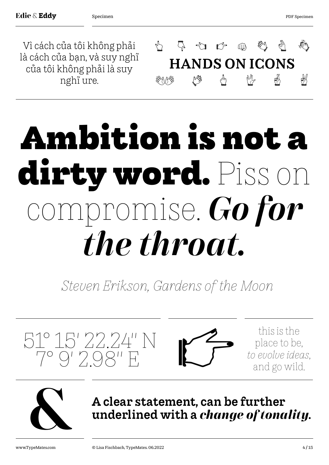Vì cách của tôi không phải là cách của bạn, và suy nghĩ của tôi không phải là suy nghĩ ure.



# **Ambition is not a dirty word.** Piss on mpromise. *Go for the throat.*

*Steven Erikson, Gardens of the Moon* 





A clear statement, can be further<br>underlined with a *change of tonality*.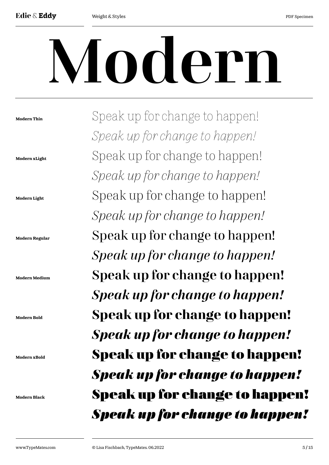# Modern

**Modern Thin Modern xLight Modern Light Modern Regular Modern Medium Modern Bold Modern xBold Modern Black** Speak up for change to happen! *Speak up for change to happen!*  Speak up for change to happen! *Speak up for change to happen!*  Speak up for change to happen! *Speak up for change to happen!*  Speak up for change to happen! *Speak up for change to happen!*  Speak up for change to happen! *Speak up for change to happen!*  **Speak up for change to happen!**  *Speak up for change to happen!*  **Speak up for change to happen!**  *Speak up for change to happen!*  Speak up for change to happen! *Speak up for change to happen!*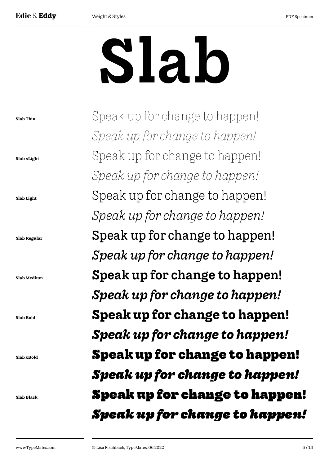# Slab

**Slab Thin Slab xLight Slab Light Slab Regular Slab Medium Slab Bold Slab xBold Slab Black** Speak up for change to happen! *Speak up for change to happen!*  Speak up for change to happen! *Speak up for change to happen!*  Speak up for change to happen! *Speak up for change to happen!*  Speak up for change to happen! *Speak up for change to happen!*  Speak up for change to happen! *Speak up for change to happen!*  **Speak up for change to happen!**  *Speak up for change to happen!*  **Speak up for change to happen!**  *Speak up for change to happen!*  Speak up for change to happen! *Speak up for change to happen!*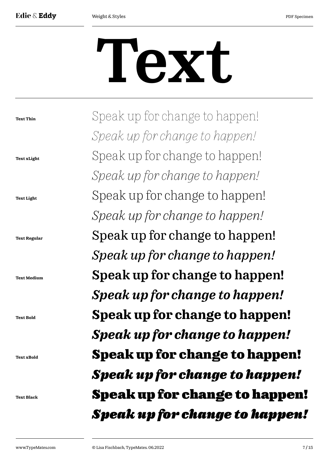**Text Thin**

**Text xLight**

**Text Light**

**Text Bold**

**Text xBold**

**Text Black**

# Text

Speak up for change to happen! *Speak up for change to happen!*  Speak up for change to happen! *Speak up for change to happen!*  Speak up for change to happen! *Speak up for change to happen!*  Speak up for change to happen! *Speak up for change to happen!*  Speak up for change to happen! *Speak up for change to happen!*  **Speak up for change to happen!**  *Speak up for change to happen!*  **Speak up for change to happen!**  *Speak up for change to happen!*  Speak up for change to happen! *Speak up for change to happen!* **Text Regular Text Medium**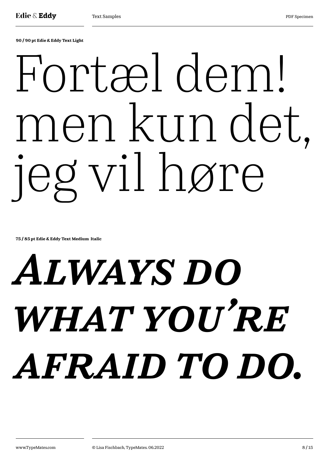**90 / 90 pt Edie & Eddy Text Light**

# Fortæl dem! men kun det, jeg vil høre

**75 / 85 pt Edie & Eddy Text Medium Italic**

# *Always do what you're afraid to do.*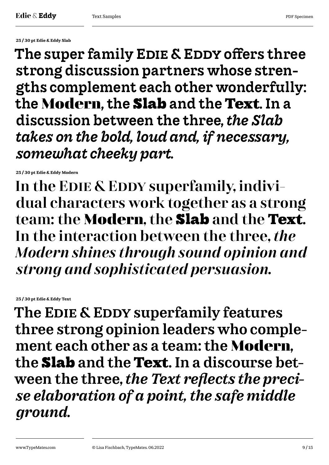**25 / 30 pt Edie & Eddy Slab**

The super family EDIE & EDDY offers three strong discussion partners whose strengths complement each other wonderfully: the **Modern**, the **Slab** and the **Text**. In a discussion between the three, *the Slab takes on the bold, loud and, if necessary, somewhat cheeky part.*

**25 / 30 pt Edie & Eddy Modern**

In the EDIE & EDDY superfamily, individual characters work together as a strong team: the **Modern**, the **Slab** and the **Text**. In the interaction between the three, *the Modern shines through sound opinion and strong and sophisticated persuasion.*

**25 / 30 pt Edie & Eddy Text**

The EDIE & EDDY superfamily features three strong opinion leaders who complement each other as a team: the **Modern**, the **Slab** and the **Text**. In a discourse between the three, *the Text reflects the precise elaboration of a point, the safe middle ground.*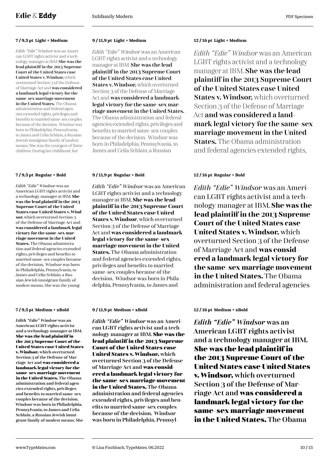*Edith "Edie" Windsor* was an American LGBT rights activist and a technology manager at IBM. She was the lead plaintiff in the 2013 Supreme Court of the United States case United States v. Windsor, which overturned Section 3 of the Defense of Marriage Act and was considered a landmark legal victory for the same-sex marriage movement in the United States. The Obama administration and federal agencies extended rights, privileges and benefits to married same-sex couples because of the decision. Windsor was born in Philadelphia, Pennsylvania, to James and Celia Schlain, a Russian Jewish immigrant family of modest means. She was the youngest of three children. During her childhood, her

*Edith "Edie" Windsor* was an American LGBT rights activist and a technology manager at IBM. **She was the lead plaintiff in the 2013 Supreme Court of the United States case United States v. Windsor,** which overturned Section 3 of the Defense of Marriage Act and **was considered a landmark legal victory for the same-sex marriage movement in the United States.** The Obama administration and federal agencies extended rights, privileges and benefits to married same-sex couples because of the decision. Windsor was born in Philadelphia, Pennsylvania, to James and Celia Schlain, a Russian Jewish immigrant family of modest means. She was the young-

*Edith "Edie" Windsor* was an American LGBT rights activist and a technology manager at IBM. **She was the lead plaintiff in the 2013 Supreme Court of the United States case United States v. Windsor,** which overturned Section 3 of the Defense of Marriage Act and **was considered a landmark legal victory for the same-sex marriage movement in the United States.** The Obama administration and federal agencies extended rights, privileges and benefits to married same-sex couples because of the decision. Windsor was born in Philadelphia, Pennsylvania, to James and Celia Schlain, a Russian Jewish immigrant family of modest means. She

## **7 / 9,5 pt Light + Medium 9 / 11,9 pt Light + Medium 12 / 16 pt Light + Medium**

*Edith "Edie" Windsor* was an American LGBT rights activist and a technology manager at IBM. She was the lead plaintiff in the 2013 Supreme Court of the United States case United States v. Windsor, which overturned Section 3 of the Defense of Marriage Act and was considered a landmark legal victory for the same-sex marriage movement in the United States. The Obama administration and federal agencies extended rights, privileges and benefits to married same-sex couples because of the decision. Windsor was born in Philadelphia, Pennsylvania, to James and Celia Schlain, a Russian

*Edith "Edie" Windsor* was an American LGBT rights activist and a technology manager at IBM. **She was the lead plaintiff in the 2013 Supreme Court of the United States case United States v. Windsor**, which overturned Section 3 of the Defense of Marriage Act and **was considered a landmark legal victory for the same-sex marriage movement in the United States.** The Obama administration and federal agencies extended rights, privileges and benefits to married same-sex couples because of the decision. Windsor was born in Philadelphia, Pennsylvania, to James and

## **7 / 9,5 pt Medium + xBold 9 / 11,9 pt Medium + xBold 12 / 16 pt Medium + xBold**

*Edith "Edie" Windsor* was an American LGBT rights activist and a technology manager at IBM. **She was the lead plaintiff in the 2013 Supreme Court of the United States case United States v. Windsor,** which overturned Section 3 of the Defense of Marriage Act and **was considered a landmark legal victory for the same-sex marriage movement in the United States.** The Obama administration and federal agencies extended rights, privileges and benefits to married same-sex couples because of the decision. Windsor was born in Philadelphia, Pennsyl-

*Edith "Edie" Windsor* was an American LGBT rights activist and a technology manager at IBM. She was the lead plaintiff in the 2013 Supreme Court of the United States case United States v. Windsor, which overturned Section 3 of the Defense of Marriage Act and was considered a landmark legal victory for the same-sex marriage movement in the United States. The Obama administration and federal agencies extended rights,

# **7 / 9,5 pt Regular + Bold 9 / 11,9 pt Regular + Bold 12 / 16 pt Regular + Bold**

*Edith "Edie" Windsor* was an American LGBT rights activist and a technology manager at IBM. **She was the lead plaintiff in the 2013 Supreme Court of the United States case United States v. Windsor,** which overturned Section 3 of the Defense of Marriage Act and **was considered a landmark legal victory for the same-sex marriage movement in the United States.** The Obama administration and federal agencies

*Edith "Edie" Windsor* was an American LGBT rights activist and a technology manager at IBM. **She was the lead plaintiff in the 2013 Supreme Court of the United States case United States v. Windsor,** which overturned Section 3 of the Defense of Marriage Act and **was considered a landmark legal victory for the same-sex marriage movement in the United States.** The Obama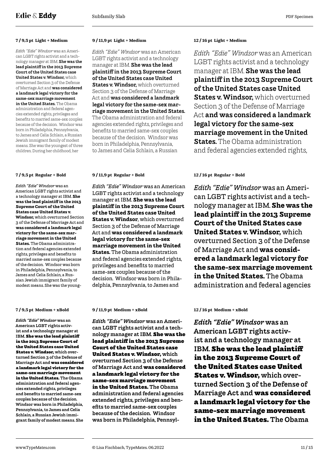*Edith "Edie" Windsor* was an American LGBT rights activist and a technology manager at IBM. She was the lead plaintiff in the 2013 Supreme Court of the United States case United States v. Windsor, which overturned Section 3 of the Defense of Marriage Act and was considered a landmark legal victory for the same-sex marriage movement in the United States. The Obama administration and federal agencies extended rights, privileges and benefits to married same-sex couples because of the decision. Windsor was born in Philadelphia, Pennsylvania, to James and Celia Schlain, a Russian Jewish immigrant family of modest means. She was the youngest of three children. During her childhood, her

*Edith "Edie" Windsor* was an American LGBT rights activist and a technology manager at IBM. **She was the lead plaintiff in the 2013 Supreme Court of the United States case United States v. Windsor,** which overturned Section 3 of the Defense of Marriage Act and **was considered a landmark legal victory for the same-sex marriage movement in the United States.** The Obama administration and federal agencies extended rights, privileges and benefits to married same-sex couples because of the decision. Windsor was born in Philadelphia, Pennsylvania, to James and Celia Schlain, a Russian Jewish immigrant family of modest means. She was the young-

*Edith "Edie" Windsor* was an American LGBT rights activist and a technology manager at IBM. **She was the lead plaintiff in the 2013 Supreme Court of the United States case United States v. Windsor,** which overturned Section 3 of the Defense of Marriage Act and **was considered a landmark legal victory for the same-sex marriage movement in the United States.** The Obama administration and federal agencies extended rights, privileges and benefits to married same-sex couples because of the decision. Windsor was born in Philadelphia, Pennsylvania, to James and Celia Schlain, a Russian Jewish immigrant family of modest means. She

## **7 / 9,5 pt Light + Medium 9 / 11,9 pt Light + Medium 12 / 16 pt Light + Medium**

*Edith "Edie" Windsor* was an American LGBT rights activist and a technology manager at IBM. She was the lead plaintiff in the 2013 Supreme Court of the United States case United States v. Windsor, which overturned Section 3 of the Defense of Marriage Act and was considered a landmark legal victory for the same-sex marriage movement in the United States. The Obama administration and federal agencies extended rights, privileges and benefits to married same-sex couples because of the decision. Windsor was born in Philadelphia, Pennsylvania, to James and Celia Schlain, a Russian

*Edith "Edie" Windsor* was an American LGBT rights activist and a technology manager at IBM. **She was the lead plaintiff in the 2013 Supreme Court of the United States case United States v. Windsor**, which overturned Section 3 of the Defense of Marriage Act and **was considered a landmark legal victory for the same-sex marriage movement in the United States.** The Obama administration and federal agencies extended rights, privileges and benefits to married same-sex couples because of the decision. Windsor was born in Philadelphia, Pennsylvania, to James and

## **7 / 9,5 pt Medium + xBold 9 / 11,9 pt Medium + xBold 12 / 16 pt Medium + xBold**

*Edith "Edie" Windsor* was an American LGBT rights activist and a technology manager at IBM. **She was the lead plaintiff in the 2013 Supreme Court of the United States case United States v. Windsor,** which overturned Section 3 of the Defense of Marriage Act and **was considered a landmark legal victory for the same-sex marriage movement in the United States.** The Obama administration and federal agencies extended rights, privileges and benefits to married same-sex couples because of the decision. Windsor was born in Philadelphia, Pennsyl-

*Edith "Edie" Windsor* was an American LGBT rights activist and a technology manager at IBM. She was the lead plaintiff in the 2013 Supreme Court of the United States case United **States v. Windsor.** which overturned Section 3 of the Defense of Marriage Act and was considered a landmark legal victory for the same-sex marriage movement in the United **States.** The Obama administration and federal agencies extended rights,

## **7 / 9,5 pt Regular + Bold 9 / 11,9 pt Regular + Bold 12 / 16 pt Regular + Bold**

*Edith "Edie" Windsor* was an American LGBT rights activist and a technology manager at IBM. **She was the lead plaintiff in the 2013 Supreme Court of the United States case United States v. Windsor,** which overturned Section 3 of the Defense of Marriage Act and **was considered a landmark legal victory for the same-sex marriage movement in the United States.** The Obama administration and federal agencies

*Edith "Edie" Windsor* was an American LGBT rights activist and a technology manager at IBM. **She was the lead plaintiff in the 2013 Supreme Court of the United States case United States v. Windsor,** which overturned Section 3 of the Defense of Marriage Act and **was considered a landmark legal victory for the same-sex marriage movement in the United States.** The Obama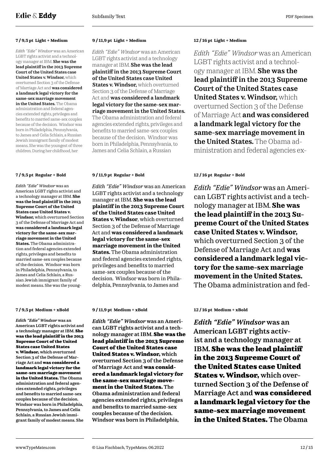*Edith "Edie" Windsor* was an American LGBT rights activist and a technology manager at IBM. She was the lead plaintiff in the 2013 Supreme Court of the United States case United States v. Windsor, which overturned Section 3 of the Defense of Marriage Act and was considered a landmark legal victory for the same-sex marriage movement in the United States. The Obama administration and federal agencies extended rights, privileges and benefits to married same-sex couples because of the decision. Windsor was born in Philadelphia, Pennsylvania, to James and Celia Schlain, a Russian Jewish immigrant family of modest means. She was the youngest of three children. During her childhood, her

*Edith "Edie" Windsor* was an American LGBT rights activist and a technology manager at IBM. **She was the lead plaintiff in the 2013 Supreme Court of the United States case United States v. Windsor,** which overturned Section 3 of the Defense of Marriage Act and **was considered a landmark legal victory for the same-sex marriage movement in the United States.** The Obama administration and federal agencies extended rights, privileges and benefits to married same-sex couples because of the decision. Windsor was born in Philadelphia, Pennsylvania, to James and Celia Schlain, a Russian Jewish immigrant family of modest means. She was the young-

*Edith "Edie" Windsor* was an American LGBT rights activist and a technology manager at IBM. **She was the lead plaintiff in the 2013 Supreme Court of the United States case United States v. Windsor,** which overturned Section 3 of the Defense of Marriage Act and **was considered a landmark legal victory for the same-sex marriage movement in the United States.** The Obama administration and federal agencies extended rights, privileges and benefits to married same-sex couples because of the decision. Windsor was born in Philadelphia, Pennsylvania, to James and Celia Schlain, a Russian Jewish immigrant family of modest means. She

## **7 / 9,5 pt Light + Medium 9 / 11,9 pt Light + Medium 12 / 16 pt Light + Medium**

*Edith "Edie" Windsor* was an American LGBT rights activist and a technology manager at IBM. She was the lead plaintiff in the 2013 Supreme Court of the United States case United States v. Windsor, which overturned Section 3 of the Defense of Marriage Act and was considered a landmark legal victory for the same-sex marriage movement in the United States. The Obama administration and federal agencies extended rights, privileges and benefits to married same-sex couples because of the decision. Windsor was born in Philadelphia, Pennsylvania, to James and Celia Schlain, a Russian

*Edith "Edie" Windsor* was an American LGBT rights activist and a technology manager at IBM. **She was the lead plaintiff in the 2013 Supreme Court of the United States case United States v. Windsor**, which overturned Section 3 of the Defense of Marriage Act and **was considered a landmark legal victory for the same-sex marriage movement in the United States.** The Obama administration and federal agencies extended rights, privileges and benefits to married same-sex couples because of the decision. Windsor was born in Philadelphia, Pennsylvania, to James and

## **7 / 9,5 pt Medium + xBold 9 / 11,9 pt Medium + xBold 12 / 16 pt Medium + xBold**

*Edith "Edie" Windsor* was an American LGBT rights activist and a technology manager at IBM. **She was the lead plaintiff in the 2013 Supreme Court of the United States case United States v. Windsor,** which overturned Section 3 of the Defense of Marriage Act and **was considered a landmark legal victory for the same-sex marriage movement in the United States.** The Obama administration and federal agencies extended rights, privileges and benefits to married same-sex couples because of the decision. Windsor was born in Philadelphia,

*Edith "Edie" Windsor* was an American LGBT rights activist and a technology manager at IBM. She was the lead plaintiff in the 2013 Supreme Court of the United States case United States v. Windsor, which overturned Section 3 of the Defense of Marriage Act and was considered a landmark legal victory for the same-sex marriage movement in the United States. The Obama administration and federal agencies ex-

# **7 / 9,5 pt Regular + Bold 9 / 11,9 pt Regular + Bold 12 / 16 pt Regular + Bold**

*Edith "Edie" Windsor* was an American LGBT rights activist and a technology manager at IBM. **She was the lead plaintiff in the 2013 Supreme Court of the United States case United States v. Windsor,** which overturned Section 3 of the Defense of Marriage Act and **was considered a landmark legal victory for the same-sex marriage movement in the United States.**  The Obama administration and fed-

*Edith "Edie" Windsor* was an American LGBT rights activist and a technology manager at IBM. **She was the lead plaintiff in the 2013 Supreme Court of the United States case United States v. Windsor,** which overturned Section 3 of the Defense of Marriage Act and **was considered a landmark legal victory for the same-sex marriage movement in the United States.** The Obama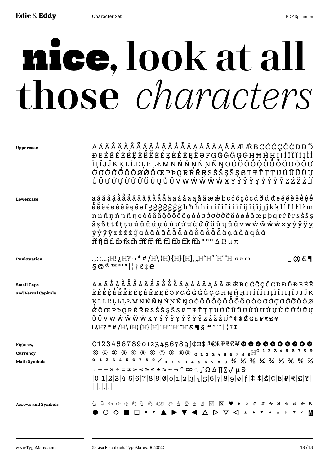# nice, look at all those *characters*

| Uppercase                                   | A Á Ă Ă Ă Ă Ă Ą Ą Ą A A À Å Ã Ä Ä Ą A Å A Ą Å Ã Æ Æ B C Ć Č Ç Ĉ Ċ D Đ Ď<br>ĐEĖĔĔĒĒĒĒĒĔĔĖEĘĖĒĒĘĔƏFGĞĞĜĢĠHĦĤHIIĬĨĨÏİļÌ<br>ĪĮĨJĴKĶLĹĽĻĿĻŁMNŃŇŅŇŊŇŊOÓŎÔÔÔÔŎŎŎŎŎŎ<br><i>Ŏ</i> ŎŎŎŐŎŌØ <i></i> ŎŎŒPÞQRŔŔŖSŚŠŞŜŞßTŦŤŢŢUÚŬŨÜŲ<br>Ù Ů Ư Ú Ự Ừ Ử Ű Ű Ŭ Ų Ů Ũ V W Ŵ Ŵ Ŵ W X Y Ý Ŷ Ÿ Y Ý Ý Ÿ Ÿ Ž Ž Ž Ž İ Í                                                                                                                                                                                                                                                                                                                                                                                                                                                                                                                                                                        |
|---------------------------------------------|-----------------------------------------------------------------------------------------------------------------------------------------------------------------------------------------------------------------------------------------------------------------------------------------------------------------------------------------------------------------------------------------------------------------------------------------------------------------------------------------------------------------------------------------------------------------------------------------------------------------------------------------------------------------------------------------------------------------------------------------------------------------------------------------------------------------------------------------------------------------------|
| Lowercase                                   | $\hat{s}$ ș ß t ŧ t ț ț u ú ŭ û ü u ù ủ ư ứ ự ử ử ű ű ü u ů ũ v w w ŵ ŵ w x y ý ŷ ÿ y<br>yỷyỹ z ź ž ż íj a á ă ắ ặ ằ ẵ ẵ ã â â ậ ầ ẫ ẫ ä ạ à đ ā ą å ã<br>ff fi fi fl fb fk fh fff ffj ffi ffl ffb ffk ffh $a$ o a $\Delta$ $\Omega$ $\mu$ $\pi$                                                                                                                                                                                                                                                                                                                                                                                                                                                                                                                                                                                                                      |
| <b>Punktuation</b>                          | .,:;;H!¿H?・•*#/H\(H){H}[H],"H"H"'H'"H'«»‹›--- - - - _ @&¶<br>$\S$ ©®™°'" ¦†{!e                                                                                                                                                                                                                                                                                                                                                                                                                                                                                                                                                                                                                                                                                                                                                                                        |
| <b>Small Caps</b><br>and Versal Capitals    | A Á Ă Ă Ă Ă Ă Ã Ã Â Â Â Â Â Ã Ä A A Å Ā Ą Å Ã Æ Æ B C Ć Č Ç Ĉ Ċ D Đ Ď Đ E É Ĕ<br>ĔÊÊÊÊÊÊËEEFEÊEEFEƏFGĠĞĞĞĢĠHĦĤḤIIÍĬĨÏİİÎIĪĮĨJJĴK<br>ĸĿĹĽĻĿĻŁMNŃŇŅŃŊŇŊŌŎŎÔÔÔÔÔŎŎŎŎŎŎŎŎŎŎŎŎŎ<br>$\dot{\alpha}$ $\ddot{\rm{o}}$ $\alpha$ $\ddot{\rm{o}}$ $\alpha$ $\ddot{\rm{p}}$ $\rm{p}$ $\rm{p}$ $\rm{p}$ $\dot{\rm{p}}$ $\dot{\rm{p}}$ $\dot{\rm{p}}$ $\dot{\rm{p}}$ $\dot{\rm{p}}$ $\rm{p}$ $\rm{p}$ $\rm{p}$ $\rm{p}$ $\rm{p}$ $\rm{p}$ $\rm{p}$ $\rm{p}$ $\rm{p}$ $\rm{p}$ $\rm{p}$ $\rm{p}$ $\$<br>ŮŨVWŴŴŴWXYÝŶŸYŶŶŸŶŽZŹŽŽİJ <sup>4</sup> ¢\$₫€Ł₽₹£¥<br>$i \& H$ ? * # $/H \setminus (H)$ {H} [H] "H" 'H' $K \P S$ $\P S$ $\mathbb{R}$ $\mathbb{R}$ $\mathbb{R}$ $\mathbb{R}$ $\mathbb{R}$ $\mathbb{R}$ $\mathbb{R}$ $\mathbb{R}$ $\mathbb{R}$ $\mathbb{R}$ $\mathbb{R}$ $\mathbb{R}$ $\mathbb{R}$ $\mathbb{R}$ $\mathbb{R}$ $\mathbb{R}$ $\mathbb{R}$ $\mathbb{R}$ $\mathbb{R}$ |
| Figures,<br>Currency<br><b>Math Symbols</b> | $01234567890123456789$ f¢¤\$d€ŁP₹£¥ <b>O 0 0 0 0 0 0 0 0 0</b><br>$\textcircled{\small 0} \text{ \small 0} \text{ \small 2} \text{ \small 3} \text{ \small 4} \text{ \small 5} \text{ \small 6} \text{ \small 7} \text{ \small 8} \text{ \small 9}$<br>0123456789/0123456789½½½¼¼½%½<br>• + − × ÷ = ≠ > < ≥ ≤ ± ≈ ~ ¬ ^ ∞ ୍∫Ω Δ ∏ ∑√ μ ∂<br>$ 0 1 2 3 4 5 6 7 8 9 0 0 1 2 3 4 5 6 7 8 9 0 f 0 $ 4 6 E F 7 E F $<br>                                                                                                                                                                                                                                                                                                                                                                                                                                                   |
| <b>Arrows and Symbols</b>                   | <b>A &amp; B 2 X ♥ ● ○ A</b><br>$\rightarrow$ 4 $\sim$<br>とうけいのもう<br>A                                                                                                                                                                                                                                                                                                                                                                                                                                                                                                                                                                                                                                                                                                                                                                                                |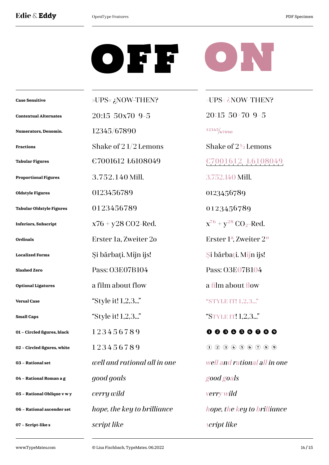# **Edie & Eddy** DepenType Features **PDF** Specimen

# OFF ON

| <b>Case Sensitive</b>           | ?NOW–THEN به>UPS×            | »UPS« ¿NOW-THEN?                                      |
|---------------------------------|------------------------------|-------------------------------------------------------|
| <b>Contextual Alternates</b>    | 20:15 50x70 9-5              | $20:15$ 50×70 9-5                                     |
| Numerators, Denomin.            | 12345/67890                  | 12345/67890                                           |
| <b>Fractions</b>                | Shake of $21/2$ Lemons       | Shake of 2½ Lemons                                    |
| <b>Tabular Figures</b>          | €7001612 ₺6108049            | $E7001612$ , $E6108049$                               |
| <b>Proportional Figures</b>     | 3.752.140 Mill.              | 3.752.140 Mill.                                       |
| <b>Oldstyle Figures</b>         | 0123456789                   | 0123456789                                            |
| <b>Tabular Oldstyle Figures</b> | 0123456789                   | 0123456789                                            |
| <b>Inferiors, Subscript</b>     | $x76 + y28 CO2$ -Red.        | $x^{76} + y^{28} CO_2$ -Red.                          |
| <b>Ordinals</b>                 | Erster 1a, Zweiter 20        | Erster 1ª, Zweiter 2°                                 |
| <b>Localized Forms</b>          | Şi bărbați. Mijn ijs!        | Si bărbați. Mijn ijs!                                 |
| <b>Slashed Zero</b>             | Pass: O3E07B104              | Pass: O3E07B104                                       |
| <b>Optional Ligatures</b>       | a film about flow            | a film about flow                                     |
| <b>Versal Case</b>              | "Style it! 1,2,3"            | "STYLE IT! 1,2,3"                                     |
| <b>Small Caps</b>               | "Style it! 1,2,3"            | "STYLE IT! 1,2,3"                                     |
| 01 - Circled figures, black     | 123456789                    | 0 0 0 0 0 0                                           |
| 02 - Circled figures, white     | 123456789                    | $(1)$ $(2)$ $(3)$ $(4)$ $(5)$ $(6)$ $(7)$ $(8)$ $(9)$ |
| 03 - Rational set               | well and rational all in one | well and rational all in one                          |
| 04 - Rational Roman a g         | good goals                   | good goals                                            |
| 05 - Rational Oblique v w y     | verry wild                   | verry wild                                            |
| 06 - Rational ascender set      | hope, the key to brilliance  | hope, the key to brilliance                           |
| 07 - Script-like s              | script like                  | script like                                           |